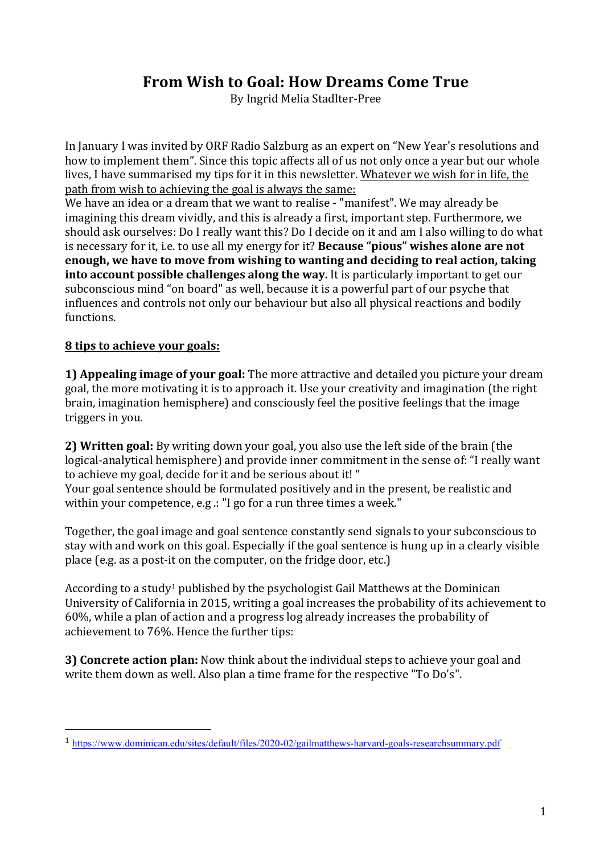## **From Wish to Goal: How Dreams Come True**

By Ingrid Melia Stadlter-Pree

In January I was invited by ORF Radio Salzburg as an expert on "New Year's resolutions and how to implement them". Since this topic affects all of us not only once a year but our whole lives, I have summarised my tips for it in this newsletter. Whatever we wish for in life, the path from wish to achieving the goal is always the same:

We have an idea or a dream that we want to realise - "manifest". We may already be imagining this dream vividly, and this is already a first, important step. Furthermore, we should ask ourselves: Do I really want this? Do I decide on it and am I also willing to do what is necessary for it, i.e. to use all my energy for it? **Because "pious" wishes alone are not enough, we have to move from wishing to wanting and deciding to real action, taking into account possible challenges along the way.** It is particularly important to get our subconscious mind "on board" as well, because it is a powerful part of our psyche that influences and controls not only our behaviour but also all physical reactions and bodily functions. 

## **8 tips to achieve your goals:**

 

**1) Appealing image of your goal:** The more attractive and detailed you picture your dream goal, the more motivating it is to approach it. Use your creativity and imagination (the right brain, imagination hemisphere) and consciously feel the positive feelings that the image triggers in you.

**2) Written goal:** By writing down your goal, you also use the left side of the brain (the logical-analytical hemisphere) and provide inner commitment in the sense of: "I really want to achieve my goal, decide for it and be serious about it! "

Your goal sentence should be formulated positively and in the present, be realistic and within your competence, e.g .: "I go for a run three times a week."

Together, the goal image and goal sentence constantly send signals to your subconscious to stay with and work on this goal. Especially if the goal sentence is hung up in a clearly visible place (e.g. as a post-it on the computer, on the fridge door, etc.)

According to a study<sup>1</sup> published by the psychologist Gail Matthews at the Dominican University of California in 2015, writing a goal increases the probability of its achievement to  $60\%$ , while a plan of action and a progress log already increases the probability of achievement to 76%. Hence the further tips:

**3) Concrete action plan:** Now think about the individual steps to achieve your goal and write them down as well. Also plan a time frame for the respective "To Do's".

<sup>1</sup> https://www.dominican.edu/sites/default/files/2020-02/gailmatthews-harvard-goals-researchsummary.pdf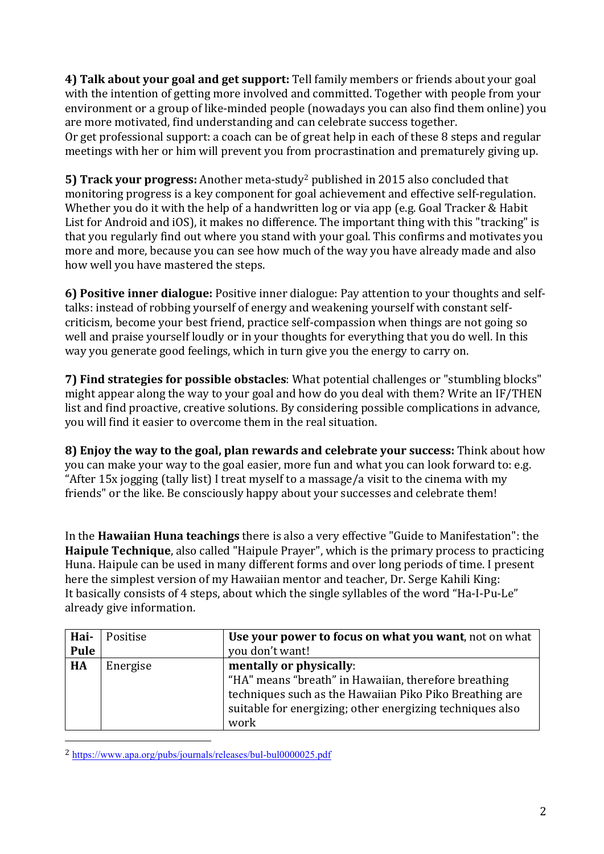**4) Talk about vour goal and get support:** Tell family members or friends about your goal with the intention of getting more involved and committed. Together with people from your environment or a group of like-minded people (nowadays you can also find them online) you are more motivated, find understanding and can celebrate success together. Or get professional support: a coach can be of great help in each of these 8 steps and regular meetings with her or him will prevent you from procrastination and prematurely giving up.

**5) Track your progress:** Another meta-study<sup>2</sup> published in 2015 also concluded that monitoring progress is a key component for goal achievement and effective self-regulation. Whether you do it with the help of a handwritten log or via app (e.g. Goal Tracker & Habit List for Android and iOS), it makes no difference. The important thing with this "tracking" is that you regularly find out where you stand with your goal. This confirms and motivates you more and more, because you can see how much of the way you have already made and also how well you have mastered the steps.

**6) Positive inner dialogue:** Positive inner dialogue: Pay attention to your thoughts and selftalks: instead of robbing yourself of energy and weakening yourself with constant selfcriticism, become your best friend, practice self-compassion when things are not going so well and praise vourself loudly or in your thoughts for everything that you do well. In this way you generate good feelings, which in turn give you the energy to carry on.

**7) Find strategies for possible obstacles**: What potential challenges or "stumbling blocks" might appear along the way to your goal and how do you deal with them? Write an IF/THEN list and find proactive, creative solutions. By considering possible complications in advance, you will find it easier to overcome them in the real situation.

**8) Enjoy the way to the goal, plan rewards and celebrate your success:** Think about how you can make your way to the goal easier, more fun and what you can look forward to: e.g. "After 15x jogging (tally list) I treat myself to a massage/a visit to the cinema with my friends" or the like. Be consciously happy about your successes and celebrate them!

In the **Hawaiian Huna teachings** there is also a very effective "Guide to Manifestation": the **Haipule Technique**, also called "Haipule Prayer", which is the primary process to practicing Huna. Haipule can be used in many different forms and over long periods of time. I present here the simplest version of my Hawaiian mentor and teacher, Dr. Serge Kahili King: It basically consists of 4 steps, about which the single syllables of the word "Ha-I-Pu-Le" already give information.

| Hai-<br>Pule | Positise | Use your power to focus on what you want, not on what<br>you don't want!                                                                                                                                        |
|--------------|----------|-----------------------------------------------------------------------------------------------------------------------------------------------------------------------------------------------------------------|
| HA           | Energise | mentally or physically:<br>"HA" means "breath" in Hawaiian, therefore breathing<br>techniques such as the Hawaiian Piko Piko Breathing are<br>suitable for energizing; other energizing techniques also<br>work |

<sup>2</sup> https://www.apa.org/pubs/journals/releases/bul-bul0000025.pdf